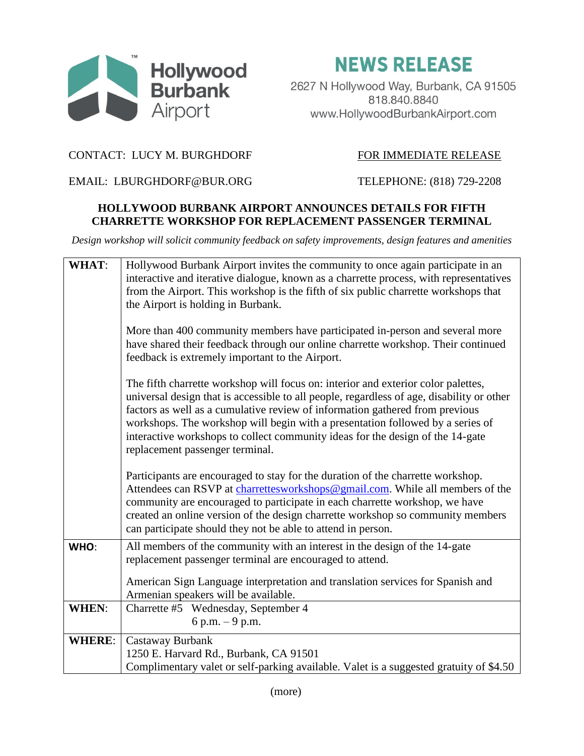

**NEWS RELEASE** 

2627 N Hollywood Way, Burbank, CA 91505 818.840.8840 www.HollywoodBurbankAirport.com

## CONTACT: LUCY M. BURGHDORF FOR IMMEDIATE RELEASE

EMAIL: LBURGHDORF@BUR.ORG TELEPHONE: (818) 729-2208

## **HOLLYWOOD BURBANK AIRPORT ANNOUNCES DETAILS FOR FIFTH CHARRETTE WORKSHOP FOR REPLACEMENT PASSENGER TERMINAL**

*Design workshop will solicit community feedback on safety improvements, design features and amenities*

| <b>WHAT:</b>  | Hollywood Burbank Airport invites the community to once again participate in an<br>interactive and iterative dialogue, known as a charrette process, with representatives<br>from the Airport. This workshop is the fifth of six public charrette workshops that<br>the Airport is holding in Burbank.                                                                                                                                                                |
|---------------|-----------------------------------------------------------------------------------------------------------------------------------------------------------------------------------------------------------------------------------------------------------------------------------------------------------------------------------------------------------------------------------------------------------------------------------------------------------------------|
|               | More than 400 community members have participated in-person and several more<br>have shared their feedback through our online charrette workshop. Their continued<br>feedback is extremely important to the Airport.                                                                                                                                                                                                                                                  |
|               | The fifth charrette workshop will focus on: interior and exterior color palettes,<br>universal design that is accessible to all people, regardless of age, disability or other<br>factors as well as a cumulative review of information gathered from previous<br>workshops. The workshop will begin with a presentation followed by a series of<br>interactive workshops to collect community ideas for the design of the 14-gate<br>replacement passenger terminal. |
|               | Participants are encouraged to stay for the duration of the charrette workshop.<br>Attendees can RSVP at charrettesworkshops@gmail.com. While all members of the<br>community are encouraged to participate in each charrette workshop, we have<br>created an online version of the design charrette workshop so community members<br>can participate should they not be able to attend in person.                                                                    |
| WHO:          | All members of the community with an interest in the design of the 14-gate<br>replacement passenger terminal are encouraged to attend.                                                                                                                                                                                                                                                                                                                                |
|               | American Sign Language interpretation and translation services for Spanish and<br>Armenian speakers will be available.                                                                                                                                                                                                                                                                                                                                                |
| <b>WHEN:</b>  | Charrette #5 Wednesday, September 4<br>6 p.m. $-9$ p.m.                                                                                                                                                                                                                                                                                                                                                                                                               |
| <b>WHERE:</b> | Castaway Burbank<br>1250 E. Harvard Rd., Burbank, CA 91501                                                                                                                                                                                                                                                                                                                                                                                                            |
|               | Complimentary valet or self-parking available. Valet is a suggested gratuity of \$4.50                                                                                                                                                                                                                                                                                                                                                                                |